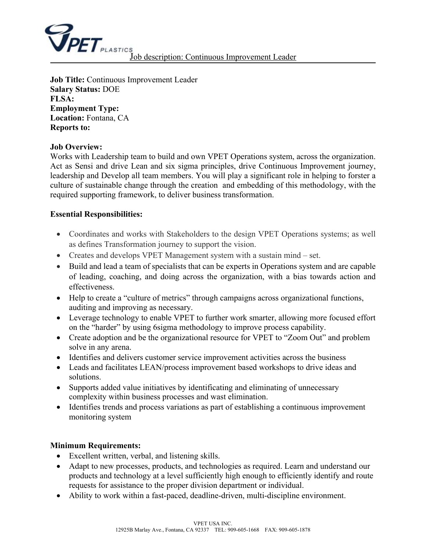

**Job Title:** Continuous Improvement Leader **Salary Status:** DOE **FLSA: Employment Type: Location:** Fontana, CA **Reports to:** 

#### **Job Overview:**

Works with Leadership team to build and own VPET Operations system, across the organization. Act as Sensi and drive Lean and six sigma principles, drive Continuous Improvement journey, leadership and Develop all team members. You will play a significant role in helping to forster a culture of sustainable change through the creation and embedding of this methodology, with the required supporting framework, to deliver business transformation.

### **Essential Responsibilities:**

- Coordinates and works with Stakeholders to the design VPET Operations systems; as well as defines Transformation journey to support the vision.
- Creates and develops VPET Management system with a sustain mind set.
- Build and lead a team of specialists that can be experts in Operations system and are capable of leading, coaching, and doing across the organization, with a bias towards action and effectiveness.
- Help to create a "culture of metrics" through campaigns across organizational functions, auditing and improving as necessary.
- Leverage technology to enable VPET to further work smarter, allowing more focused effort on the "harder" by using 6sigma methodology to improve process capability.
- Create adoption and be the organizational resource for VPET to "Zoom Out" and problem solve in any arena.
- Identifies and delivers customer service improvement activities across the business
- Leads and facilitates LEAN/process improvement based workshops to drive ideas and solutions.
- Supports added value initiatives by identificating and eliminating of unnecessary complexity within business processes and wast elimination.
- Identifies trends and process variations as part of establishing a continuous improvement monitoring system

### **Minimum Requirements:**

- Excellent written, verbal, and listening skills.
- Adapt to new processes, products, and technologies as required. Learn and understand our products and technology at a level sufficiently high enough to efficiently identify and route requests for assistance to the proper division department or individual.
- Ability to work within a fast-paced, deadline-driven, multi-discipline environment.